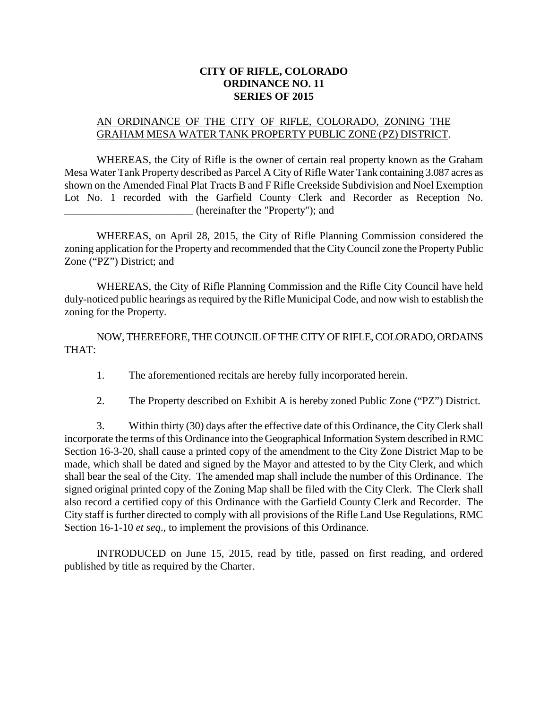## **CITY OF RIFLE, COLORADO ORDINANCE NO. 11 SERIES OF 2015**

## AN ORDINANCE OF THE CITY OF RIFLE, COLORADO, ZONING THE GRAHAM MESA WATER TANK PROPERTY PUBLIC ZONE (PZ) DISTRICT.

WHEREAS, the City of Rifle is the owner of certain real property known as the Graham Mesa Water Tank Property described as Parcel A City of Rifle Water Tank containing 3.087 acres as shown on the Amended Final Plat Tracts B and F Rifle Creekside Subdivision and Noel Exemption Lot No. 1 recorded with the Garfield County Clerk and Recorder as Reception No. \_\_\_\_\_\_\_\_\_\_\_\_\_\_\_\_\_\_\_\_\_\_\_\_ (hereinafter the "Property"); and

WHEREAS, on April 28, 2015, the City of Rifle Planning Commission considered the zoning application for the Property and recommended that the City Council zone the Property Public Zone ("PZ") District; and

WHEREAS, the City of Rifle Planning Commission and the Rifle City Council have held duly-noticed public hearings as required by the Rifle Municipal Code, and now wish to establish the zoning for the Property.

NOW, THEREFORE, THE COUNCIL OF THE CITY OF RIFLE, COLORADO, ORDAINS THAT:

1. The aforementioned recitals are hereby fully incorporated herein.

2. The Property described on Exhibit A is hereby zoned Public Zone ("PZ") District.

3. Within thirty (30) days after the effective date of this Ordinance, the City Clerk shall incorporate the terms of this Ordinance into the Geographical Information System described in RMC Section 16-3-20, shall cause a printed copy of the amendment to the City Zone District Map to be made, which shall be dated and signed by the Mayor and attested to by the City Clerk, and which shall bear the seal of the City. The amended map shall include the number of this Ordinance. The signed original printed copy of the Zoning Map shall be filed with the City Clerk. The Clerk shall also record a certified copy of this Ordinance with the Garfield County Clerk and Recorder. The City staff is further directed to comply with all provisions of the Rifle Land Use Regulations, RMC Section 16-1-10 *et seq*., to implement the provisions of this Ordinance.

INTRODUCED on June 15, 2015, read by title, passed on first reading, and ordered published by title as required by the Charter.